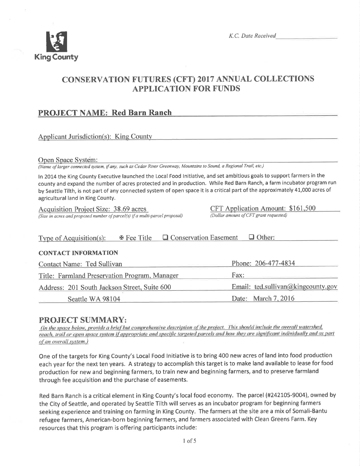

# CONSERVATION FUTURES (CFT) 2017 ANNUAL COLLECTIONS APPLICATION FOR FUNDS

# **PROJECT NAME: Red Barn Ranch**

## Applicant Jurisdiction(s): King County

#### Ooen Soace Svstem:

(Name of larger connected system, if any, such as Cedar River Greenway, Mounlains to Sound, a Regional Trail, elc.)

In 2014 the King County Executive launched the Local Food Initiative, and set ambitious goals to support farmers in the county and expand the number of acres protected and in production. While Red Barn Ranch, a farm incubator program run by Seattle Tilth, is not part of any connected system of open space it is a critical part of the approximately 41,000 acres of agricultural land in King County.

 $\frac{\text{Acquisition Project Size: 38.69 acres}}{\text{(Size in acres and proposed number of parcels) if a multi-pared proposal}} \frac{\text{CFT Application Amount: $161,500}}{\text{(Dollar amount of CFT grant requested)}}$ (Size in acres and proposed number of parcel(s) if a multi-parcel proposal)

| Type of Acquisition(s):                       | 图 Fee Title | <b>Q</b> Conservation Easement | $\Box$ Other:                      |  |
|-----------------------------------------------|-------------|--------------------------------|------------------------------------|--|
| <b>CONTACT INFORMATION</b>                    |             |                                |                                    |  |
| Contact Name: Ted Sullivan                    |             |                                | Phone: 206-477-4834                |  |
| Title: Farmland Preservation Program, Manager |             | Fax:                           |                                    |  |
| Address: 201 South Jackson Street, Suite 600  |             |                                | Email: ted.sullivan@kingcounty.gov |  |
| Seattle WA 98104                              |             |                                | Date: March 7, 2016                |  |

**PROJECT SUMMARY:**<br>(In the space below, provide a brief but comprehensive description of the project. This should include the overall watershed, reach, trail or open space system if appropriate and specific targeted parcels and how they are significant individually and as part of an overall system.)

One of the targets for King County's Local Food lnitiative is to bring 400 new acres of land into food production each year for the next ten years. A strategy to accomplish this target is to make land available to lease for food production for new and beginning farmers, to train new and beginning farmers, and to preserve farmland through fee acquisition and the purchase of easements.

Red Barn Ranch is a critical element in King County's local food economy. The parcel (#242105-9004), owned by the City of Seattle, and operated by Seattle Tilth will serves as an incubator program for beginning farmers seeking experience and training on farming in King County. The farmers at the site are a mix of Somali-Bantu refugee farmers, American-born beginning farmers, and farmers associated with Clean Greens Farm. Key resources that this program is offering participants include: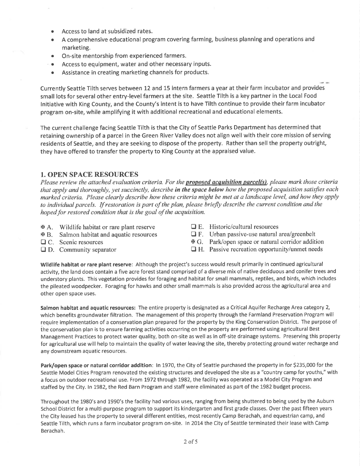- . Access to land at subsidized rates.
- . A comprehensive educational program covering farming, business planning and operations and marketing.
- On-site mentorship from experienced farmers.
- o Access to equipment, water and other necessary inputs.
- o Assistance in creating marketing channels for products.

Currently Seattle Tilth serves between 12 and 15 intern farmers a year at their farm incubator and provides small lots for several other entry-level farmers at the site. Seattle Tilth is a key partner in the Local Food lnitiative with King County, and the County's intent is to have Tilth continue to provide their farm incubator program on-site, while amplifying it with additional recreational and educational elements.

The current challenge facing Seattle Tilth is that the City of Seattle Parks Department has determined that retaining ownership of a parcel in the Green River Valley does not align well with their core mission of serving residents of Seattle, and they are seeking to dispose of the property. Rather than sell the property outright, they have offered to transfer the property to King County at the appraised value.

#### 1. OPEN SPACE RESOURCES

Please review the attached evaluation criteria. For the **proposed acquisition parcel(s)**, please mark those criteria that apply and thoroughly, yet succinctly, describe in the space below how the proposed acquisition satisfies each marked criteria. Please clearly describe how these criteria might be met at a landscape level, and how they apply to individual parcels. If restoration is part of the plan, please briefly describe the current condition and the hoped for restored condition that is the goal of the acquisition.

- $A.$  Wildlife habitat or rare plant reserve
- x B. Salmon habitat and aquatic resources
- $\Box$  C. Scenic resources
- $\Box$  D. Community separator
- $\Box$  E. Historic/cultural resources
- $\Box$  F. Urban passive-use natural area/greenbelt
- x G. Park/open space or natural corridor addition
- $\Box$  H. Passive recreation opportunity/unmet needs

Wildlife habitat or rare plant reserve: Although the project's success would result primarily in continued agricultural activity, the land does contain a five acre forest stand comprised of a diverse mix of native deciduous and conifer trees and understory plants. Ihis vegetation provides for foraging and habitat for small mammals, reptiles, and birds, which includes the pileated woodpecker. Foraging for hawks and other small mammals is also provided across the agricultural area and other open space uses.

Salmon habitat and aquatic resources: The entire property is designated as a Critical Aquifer Recharge Area category 2, which benefits groundwater filtration. The management of this property through the Farmland Preservation Program will require implementation of a conservation plan prepared for the property by the King Conservation District. The purpose of the conservation plan is to ensure farming activities occurring on the property are performed using agricultural Best Management Practices to protect water quality, both on-site as well as in off-site drainage systems. Preserving this property for agricultural use will help to maintain the quality of water leaving the site, thereby protecting ground water recharge and any downstream aquatic resources.

Park/open space or natural corridor addition: In 1970, the City of Seattle purchased the property in for \$235,000 for the Seattle Model Cities Program renovated the existing structures and developed the site as a "country camp for youths," with a focus on outdoor recreational use. From 1972 through 1982, the facility was operated as a Model City Program and staffed by the City. ln L982, the Red Barn Program and staff were eliminated as part of the 1982 budget process.

Throughout the 1980's and 1990's the facility had various uses, ranging from being shuttered to being used by the Auburn School District for a multi-purpose program to support its kindergarten and first grade classes. Over the past fifteen years the City leased has the property to several different entities, most recently Camp Berachah, and equestrian camp, and Seattle Tilth, which runs a farm incubator program on-site. In 2014 the City of Seattle terminated their lease with Camp Berachah,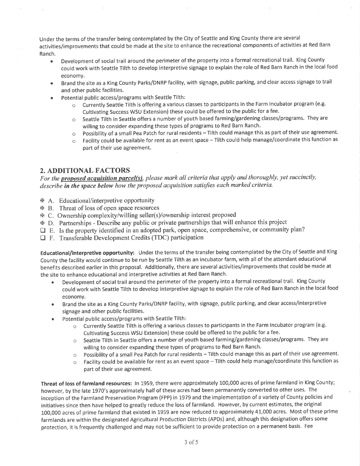Under the terms of the transfer being contemplated by the City of Seattle and King County there are several activities/improvements that could be made at the site to enhance the recreational components of activities at Red Barn Ranch.

- Development of social trail around the perimeter of the property into a formal recreational trail. King County could work with Seattle Tilth to develop interpretive signage to explain the role of Red Barn Ranch in the local food economy,
- . Brand the site as a King County Parks/DNRP facility, with signage, public parking, and clear access signage to trail and other public facilities.
- Potential public access/programs with Seattle Tilth:
	- o Currently Seattle Tilth is offering a various classes to participants in the Farm lncubator program (e.g. Cultivating Success WSU Extension) these could be offered to the public for a fee.
	- o Seattle Tilth in Seattle offers a number of youth based farming/gardening classes/programs. They are willing to consider expanding these types of programs to Red Barn Ranch.
	- $\circ$  Possibility of a small Pea Patch for rural residents Tilth could manage this as part of their use agreement.
	- o Facility could be available for rent as an event space Tilth could help manage/coordinate this function as part of their use agreement.

## 2. ADDITIONAL FACTORS

For the **proposed acquisition parcel(s)**, please mark all criteria that apply and thoroughly, yet succinctly, describe in the space below how the proposed acquisition satisfies each marked criteria.

- xA. Educational/interpretive opportunity
- **EXECUTE:** Threat of loss of open space resources
- xc. Ownership complexity/willing seller(s)/ownership interest proposed
- xD. Partnerships Describe any public or private partnerships that will enhance this project
- $\Box$  E. Is the property identified in an adopted park, open space, comprehensive, or community plan?
- $\Box$  F. Transferable Development Credits (TDC) participation

Educational/interpretive opportunity: Under the terms of the transfer being contemplated by the City of Seattle and King County the facility would continue to be run by Seattle Tilth as an incubator farm, with all of the attendant educational benefits described earlier in this proposal. Additionally, there are several activities/improvements that could be made at the site to enhance educational and interpretive activities at Red Barn Ranch.

- Development of social trail around the perimeter of the property into a formal recreational trail. King County could work with Seattle Tilth to develop interpretive signage to explain the role of Red Barn Ranch in the local food economy.
- Brand the site as a King County Parks/DNRP facility, with signage, public parking, and clear access/interpretive signage and other public facilities.
- . Potential public access/programs with Seattle Tilth:
	- o Currently Seattle Tilth is offering a various classes to participants in the Farm lncubator program (e.g. Cultivating Success WSU Extension) these could be offered to the public for a fee.
	- o Seattle Tilth in Seattle offers a number of youth based farming/gardening classes/programs. They are willing to consider expanding these types of programs to Red Barn Ranch.
	- o Possibility of a small Pea Patch for rural residents Tilth could manage this as part of their use agreement.
	- $\circ$  Facility could be available for rent as an event space Tilth could help manage/coordinate this function as part of their use agreement.

Threat of loss of farmland resources: ln 1959, there were approximately 100,000 acres of prime farmland in King County; however, by the late 1970's approximately half of these acres had been permanently converted to other uses. The inception of the Farmland Preservation Program (FPP) in 1979 and the implementation of a variety of County policies and initiatives since then have helped to greatly reduce the loss of farmland. However, by current estimates, the original 100,000 acres of prime farmland that existed in 1959 are now reduced to approximately 41,000 acres, Most of these prime farmlands are within the designated Agricultural Production Districts (APDs) and, although this designation offers some protection, it is frequently challenged and may not be sufficient to provide protection on a permanent basis. Fee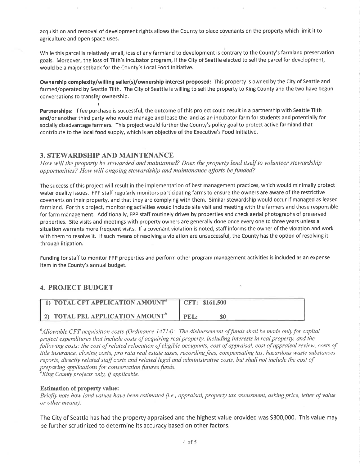acquisition and removal of development rights allows the County to place covenants on the property which limit it to agriculture and open space uses.

While this parcel is relatively small, loss of any farmland to development is contrary to the County's farmland preservation goals. Moreover, the loss of Tilth's incubator program, if the City of Seattle elected to sell the parcel for development, would be a major setback for the County's Local Food lnitiative.

Ownership complexity/willing seller(s)/ownership interest proposed: This property is owned by the City of Seattle and farmed/operated by Seattle Tilth. The City of Seattle is willing to sell the property to King County and the two have begun conversations to transfer ownership.

I Partnerships: If fee purchase is successful, the outcome of this project could result in a partnership with Seattle Tilth and/or another third party who would manage and lease the land as an incubator farm for students and potentially for socially disadvantage farmers. This project would further the County's policy goal to protect active farmland that contribute to the local food supply, which is an objective of the Executive's Food lnitiative.

### 3. STEWARDSHIP AND MAINTENANCE

How will the property be stewarded and maintained? Does the property lend itself to volunteer stewardship opportunities? How will ongoing stewardship and maintenance efforts befunded?

The success of this project will result in the implementation of best management practices, which would minimally protect water quality issues. FPP staff regularly monitors participating farms to ensure the owners are aware of the restrictive covenants on their property, and that they are complying with them. Similar stewardship would occur if managed as leased farmland. For this project, monitoring activities would include site visit and meeting with the farmers and those responsible for farm management. Additionally, FPP staff routinely drives by properties and check aerial photographs of preserved properties. Site visits and meetings with property owners are generally done once every one to three years unless <sup>a</sup> situation warrants more frequent visits. If a covenant violation is noted, staff informs the owner of the violation and work with them to resolve it. If such means of resolving a violation are unsuccessful, the County has the option of resolving it through litigation.

Funding for staff to monitor FPP properties and perform other program management activities is included as an expense item in the County's annual budget.

#### 4. PROJECT BUDGET

| 1) TOTAL CFT APPLICATION AMOUNT <sup>a</sup> | CFT: \$161,500 |
|----------------------------------------------|----------------|
| 2) TOTAL PEL APPLICATION AMOUNT <sup>b</sup> | PEL:           |

<sup>a</sup>Allowable CFT acquisition costs (Ordinance 14714): The disbursement of funds shall be made only for capital project expenditures that include costs of acquiring real property, including interests in real property, and the þllowing costs: the cost of related relocation of eligible occupants, cost of appraisal, cost of appraisal review, costs of title insurance, closing costs, pro rata real estate taxes, recording fees, compensating tax, hazardous waste substances reports, directly related staff costs and related legal and administrative costs, but shall not include the cost of preparing applications for conservation futures funds.

 $\mathcal{O}^{\circ}$ King County projects only, if applicable.

#### Estimation of property value:

Briefly note how land values have been estimated (i.e., appraisal, property tax assessment, asking price, letter of value or other means).

The City of Seattle has had the property appraised and the highest value provided was 5300,000. This value may be further scrutinized to determine its accuracy based on other factors.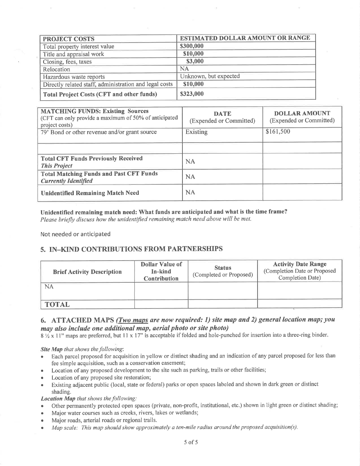| <b>PROJECT COSTS</b>                                   | <b>ESTIMATED DOLLAR AMOUNT OR RANGE</b> |  |  |
|--------------------------------------------------------|-----------------------------------------|--|--|
| Total property interest value                          | \$300,000                               |  |  |
| Title and appraisal work                               | \$10,000                                |  |  |
| Closing, fees, taxes                                   | \$3,000                                 |  |  |
| Relocation                                             | <b>NA</b>                               |  |  |
| Hazardous waste reports                                | Unknown, but expected                   |  |  |
| Directly related staff, administration and legal costs | \$10,000                                |  |  |
| <b>Total Project Costs (CFT and other funds)</b>       | \$323,000                               |  |  |

| <b>MATCHING FUNDS: Existing Sources</b><br>(CFT can only provide a maximum of 50% of anticipated<br>project costs) | <b>DATE</b><br>(Expended or Committed) | <b>DOLLAR AMOUNT</b><br>(Expended or Committed) |
|--------------------------------------------------------------------------------------------------------------------|----------------------------------------|-------------------------------------------------|
| 79' Bond or other revenue and/or grant source                                                                      | Existing                               | \$161,500                                       |
|                                                                                                                    |                                        |                                                 |
| <b>Total CFT Funds Previously Received</b><br><b>This Project</b>                                                  | <b>NA</b>                              |                                                 |
| <b>Total Matching Funds and Past CFT Funds</b><br><b>Currently Identified</b>                                      | <b>NA</b>                              |                                                 |
| <b>Unidentified Remaining Match Need</b>                                                                           | NA                                     |                                                 |

#### Unidentified remaining match need: What funds are anticipated and what is the time frame?

Please briefly discuss how the unidentified remaining match need above will be met.

Not needed or anticipated

# 5. IN-KIND CONTRIBUTIONS FROM PARTNERSHIPS

| <b>Brief Activity Description</b> | <b>Dollar Value of</b><br>In-kind<br><b>Contribution</b> | <b>Status</b><br>(Completed or Proposed) | <b>Activity Date Range</b><br>(Completion Date or Proposed<br><b>Completion Date)</b> |
|-----------------------------------|----------------------------------------------------------|------------------------------------------|---------------------------------------------------------------------------------------|
| NA                                |                                                          |                                          |                                                                                       |
| <b>TOTAL</b>                      |                                                          |                                          |                                                                                       |

# 6. ATTACHED MAPS (Two maps are now required: 1) site map and 2) general location map; you may also include one additional map, aerial photo or site photo)

8 1/2 x 11" maps are preferred, but 11 x 17" is acceptable if folded and hole-punched for insertion into a three-ring binder.

#### Site Map that shows the following:

- Each parcel proposed for acquisition in yellow or distinct shading and an indication of any parcel proposed for less than  $\bullet$ fee simple acquisition, such as a conservation easement;
- Location of any proposed development to the site such as parking, trails or other facilities;  $\bullet$
- Location of any proposed site restoration;
- Existing adjacent public (local, state or federal) parks or open spaces labeled and shown in dark green or distinct shading.

### Location Map that shows the following:

- Other permanently protected open spaces (private, non-profit, institutional, etc.) shown in light green or distinct shading;
- Major water courses such as creeks, rivers, lakes or wetlands;
- Major roads, arterial roads or regional trails.  $\bullet$
- Map scale: This map should show approximately a ten-mile radius around the proposed acquisition(s).  $\bullet$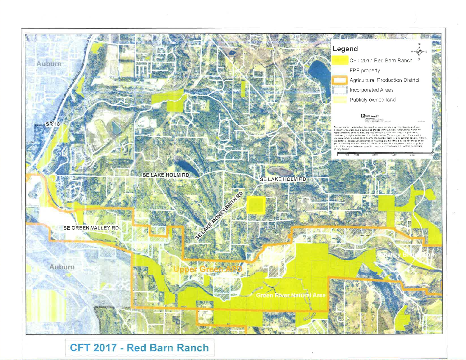

CFT 2017 - Red Barn Ranch